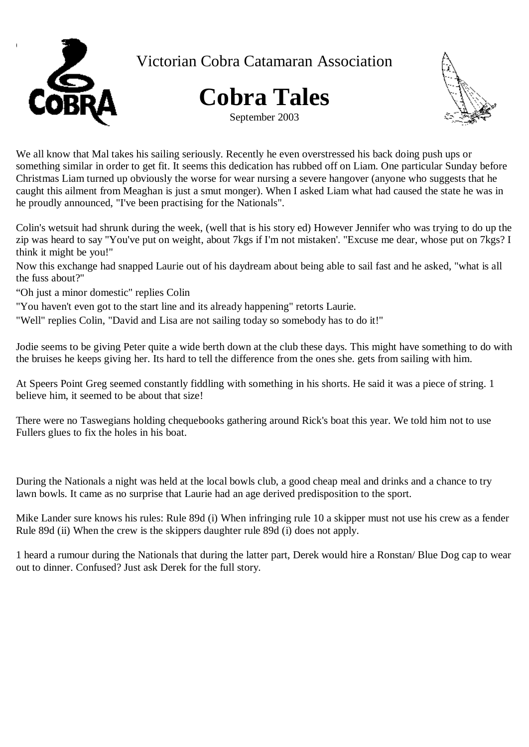

Victorian Cobra Catamaran Association





We all know that Mal takes his sailing seriously. Recently he even overstressed his back doing push ups or something similar in order to get fit. It seems this dedication has rubbed off on Liam. One particular Sunday before Christmas Liam turned up obviously the worse for wear nursing a severe hangover (anyone who suggests that he caught this ailment from Meaghan is just a smut monger). When I asked Liam what had caused the state he was in he proudly announced, "I've been practising for the Nationals".

Colin's wetsuit had shrunk during the week, (well that is his story ed) However Jennifer who was trying to do up the zip was heard to say "You've put on weight, about 7kgs if I'm not mistaken'. "Excuse me dear, whose put on 7kgs? I think it might be you!"

Now this exchange had snapped Laurie out of his daydream about being able to sail fast and he asked, "what is all the fuss about?"

- "Oh just a minor domestic" replies Colin
- "You haven't even got to the start line and its already happening" retorts Laurie.
- "Well" replies Colin, "David and Lisa are not sailing today so somebody has to do it!"

Jodie seems to be giving Peter quite a wide berth down at the club these days. This might have something to do with the bruises he keeps giving her. Its hard to tell the difference from the ones she. gets from sailing with him.

At Speers Point Greg seemed constantly fiddling with something in his shorts. He said it was a piece of string. 1 believe him, it seemed to be about that size!

There were no Taswegians holding chequebooks gathering around Rick's boat this year. We told him not to use Fullers glues to fix the holes in his boat.

During the Nationals a night was held at the local bowls club, a good cheap meal and drinks and a chance to try lawn bowls. It came as no surprise that Laurie had an age derived predisposition to the sport.

Mike Lander sure knows his rules: Rule 89d (i) When infringing rule 10 a skipper must not use his crew as a fender Rule 89d (ii) When the crew is the skippers daughter rule 89d (i) does not apply.

1 heard a rumour during the Nationals that during the latter part, Derek would hire a Ronstan/ Blue Dog cap to wear out to dinner. Confused? Just ask Derek for the full story.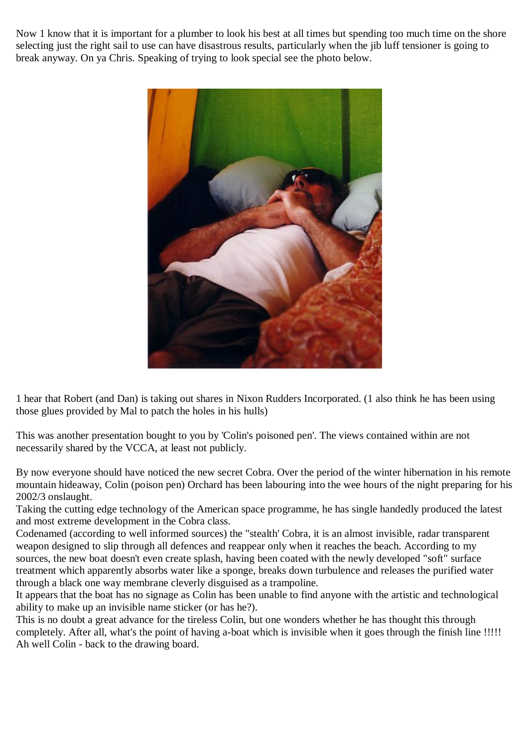Now 1 know that it is important for a plumber to look his best at all times but spending too much time on the shore selecting just the right sail to use can have disastrous results, particularly when the jib luff tensioner is going to break anyway. On ya Chris. Speaking of trying to look special see the photo below.



1 hear that Robert (and Dan) is taking out shares in Nixon Rudders Incorporated. (1 also think he has been using those glues provided by Mal to patch the holes in his hulls)

This was another presentation bought to you by 'Colin's poisoned pen'. The views contained within are not necessarily shared by the VCCA, at least not publicly.

By now everyone should have noticed the new secret Cobra. Over the period of the winter hibernation in his remote mountain hideaway, Colin (poison pen) Orchard has been labouring into the wee hours of the night preparing for his 2002/3 onslaught.

Taking the cutting edge technology of the American space programme, he has single handedly produced the latest and most extreme development in the Cobra class.

Codenamed (according to well informed sources) the "stealth' Cobra, it is an almost invisible, radar transparent weapon designed to slip through all defences and reappear only when it reaches the beach. According to my sources, the new boat doesn't even create splash, having been coated with the newly developed "soft" surface treatment which apparently absorbs water like a sponge, breaks down turbulence and releases the purified water through a black one way membrane cleverly disguised as a trampoline.

It appears that the boat has no signage as Colin has been unable to find anyone with the artistic and technological ability to make up an invisible name sticker (or has he?).

This is no doubt a great advance for the tireless Colin, but one wonders whether he has thought this through completely. After all, what's the point of having a-boat which is invisible when it goes through the finish line !!!!! Ah well Colin - back to the drawing board.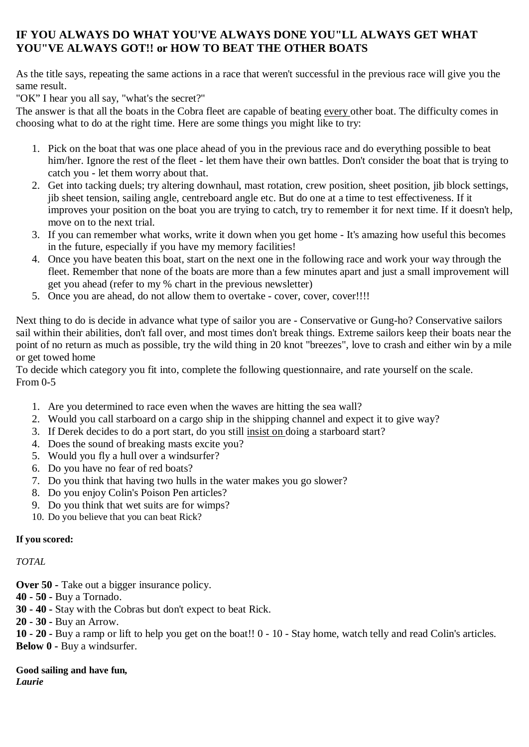## **IF YOU ALWAYS DO WHAT YOU'VE ALWAYS DONE YOU"LL ALWAYS GET WHAT YOU"VE ALWAYS GOT!! or HOW TO BEAT THE OTHER BOATS**

As the title says, repeating the same actions in a race that weren't successful in the previous race will give you the same result.

"OK" I hear you all say, "what's the secret?"

The answer is that all the boats in the Cobra fleet are capable of beating every other boat. The difficulty comes in choosing what to do at the right time. Here are some things you might like to try:

- 1. Pick on the boat that was one place ahead of you in the previous race and do everything possible to beat him/her. Ignore the rest of the fleet - let them have their own battles. Don't consider the boat that is trying to catch you - let them worry about that.
- 2. Get into tacking duels; try altering downhaul, mast rotation, crew position, sheet position, jib block settings, jib sheet tension, sailing angle, centreboard angle etc. But do one at a time to test effectiveness. If it improves your position on the boat you are trying to catch, try to remember it for next time. If it doesn't help, move on to the next trial.
- 3. If you can remember what works, write it down when you get home It's amazing how useful this becomes in the future, especially if you have my memory facilities!
- 4. Once you have beaten this boat, start on the next one in the following race and work your way through the fleet. Remember that none of the boats are more than a few minutes apart and just a small improvement will get you ahead (refer to my % chart in the previous newsletter)
- 5. Once you are ahead, do not allow them to overtake cover, cover, cover!!!!

Next thing to do is decide in advance what type of sailor you are - Conservative or Gung-ho? Conservative sailors sail within their abilities, don't fall over, and most times don't break things. Extreme sailors keep their boats near the point of no return as much as possible, try the wild thing in 20 knot "breezes", love to crash and either win by a mile or get towed home

To decide which category you fit into, complete the following questionnaire, and rate yourself on the scale. From 0-5

- 1. Are you determined to race even when the waves are hitting the sea wall?
- 2. Would you call starboard on a cargo ship in the shipping channel and expect it to give way?
- 3. If Derek decides to do a port start, do you still insist on doing a starboard start?
- 4. Does the sound of breaking masts excite you?
- 5. Would you fly a hull over a windsurfer?
- 6. Do you have no fear of red boats?
- 7. Do you think that having two hulls in the water makes you go slower?
- 8. Do you enjoy Colin's Poison Pen articles?
- 9. Do you think that wet suits are for wimps?
- 10. Do you believe that you can beat Rick?

## **If you scored:**

## *TOTAL*

**Over 50 -** Take out a bigger insurance policy.

- **40 - 50** Buy a Tornado.
- **30 - 40** Stay with the Cobras but don't expect to beat Rick.
- **20 - 30** Buy an Arrow.

**10 - 20 -** Buy a ramp or lift to help you get on the boat!! 0 - 10 - Stay home, watch telly and read Colin's articles. **Below 0 -** Buy a windsurfer.

**Good sailing and have fun,**  *Laurie*